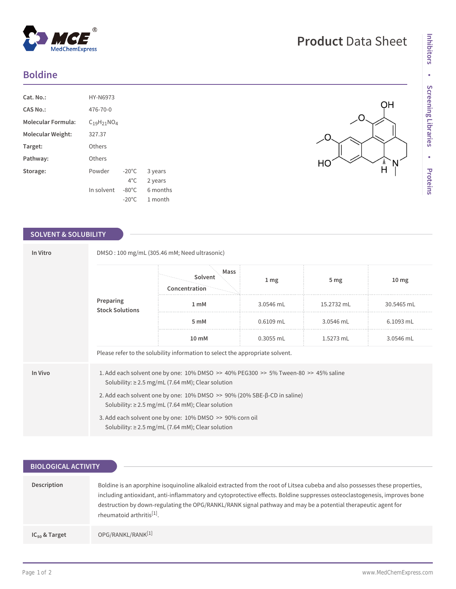## **Boldine**

| Cat. No.:                 | HY-N6973           |                 |          |
|---------------------------|--------------------|-----------------|----------|
| CAS No.:                  | 476-70-0           |                 |          |
| <b>Molecular Formula:</b> | $C_{19}H_{21}NO_4$ |                 |          |
| Molecular Weight:         | 327.37             |                 |          |
| Target:                   | Others             |                 |          |
| Pathway:                  | Others             |                 |          |
| Storage:                  | Powder             | $-20^{\circ}$ C | 3 years  |
|                           |                    | $4^{\circ}$ C   | 2 years  |
|                           | In solvent         | $-80^{\circ}$ C | 6 months |
|                           |                    | $-20^{\circ}$ C | 1 month  |

 $^{\circledR}$ 

MedChemExpress

## **SOLVENT & SOLUBILITY**

| In Vitro | DMSO: 100 mg/mL (305.46 mM; Need ultrasonic)                                                                                                              |                                  |                   |                 |                  |  |  |
|----------|-----------------------------------------------------------------------------------------------------------------------------------------------------------|----------------------------------|-------------------|-----------------|------------------|--|--|
|          | Preparing<br><b>Stock Solutions</b>                                                                                                                       | Mass<br>Solvent<br>Concentration | $1 \,\mathrm{mg}$ | 5 <sub>mg</sub> | 10 <sub>mg</sub> |  |  |
|          |                                                                                                                                                           | 1 mM                             | 3.0546 mL         | 15.2732 mL      | 30.5465 mL       |  |  |
|          |                                                                                                                                                           | 5 mM                             | $0.6109$ mL       | 3.0546 mL       | 6.1093 mL        |  |  |
|          |                                                                                                                                                           | 10 mM                            | $0.3055$ mL       | 1.5273 mL       | 3.0546 mL        |  |  |
|          | Please refer to the solubility information to select the appropriate solvent.                                                                             |                                  |                   |                 |                  |  |  |
| In Vivo  | 1. Add each solvent one by one: $10\%$ DMSO $\gg$ 40% PEG300 $\gg$ 5% Tween-80 $\gg$ 45% saline<br>Solubility: $\geq$ 2.5 mg/mL (7.64 mM); Clear solution |                                  |                   |                 |                  |  |  |
|          | 2. Add each solvent one by one: $10\%$ DMSO $\gg$ 90% (20% SBE- $\beta$ -CD in saline)<br>Solubility: $\geq$ 2.5 mg/mL (7.64 mM); Clear solution          |                                  |                   |                 |                  |  |  |
|          | 3. Add each solvent one by one: 10% DMSO >> 90% corn oil<br>Solubility: $\geq$ 2.5 mg/mL (7.64 mM); Clear solution                                        |                                  |                   |                 |                  |  |  |

| <b>BIOLOGICAL ACTIVITY</b> |                                                                                                                                                                                                                                                                                                                                                                                                                    |
|----------------------------|--------------------------------------------------------------------------------------------------------------------------------------------------------------------------------------------------------------------------------------------------------------------------------------------------------------------------------------------------------------------------------------------------------------------|
|                            |                                                                                                                                                                                                                                                                                                                                                                                                                    |
| Description                | Boldine is an aporphine isoquinoline alkaloid extracted from the root of Litsea cubeba and also possesses these properties,<br>including antioxidant, anti-inflammatory and cytoprotective effects. Boldine suppresses osteoclastogenesis, improves bone<br>destruction by down-regulating the OPG/RANKL/RANK signal pathway and may be a potential therapeutic agent for<br>rheumatoid arthritis <sup>[1]</sup> . |
| $IC_{50}$ & Target         | OPG/RANKL/RANK <sup>[1]</sup>                                                                                                                                                                                                                                                                                                                                                                                      |

O.

۰O

HO

QH

 $\hat{H}$ Ņ